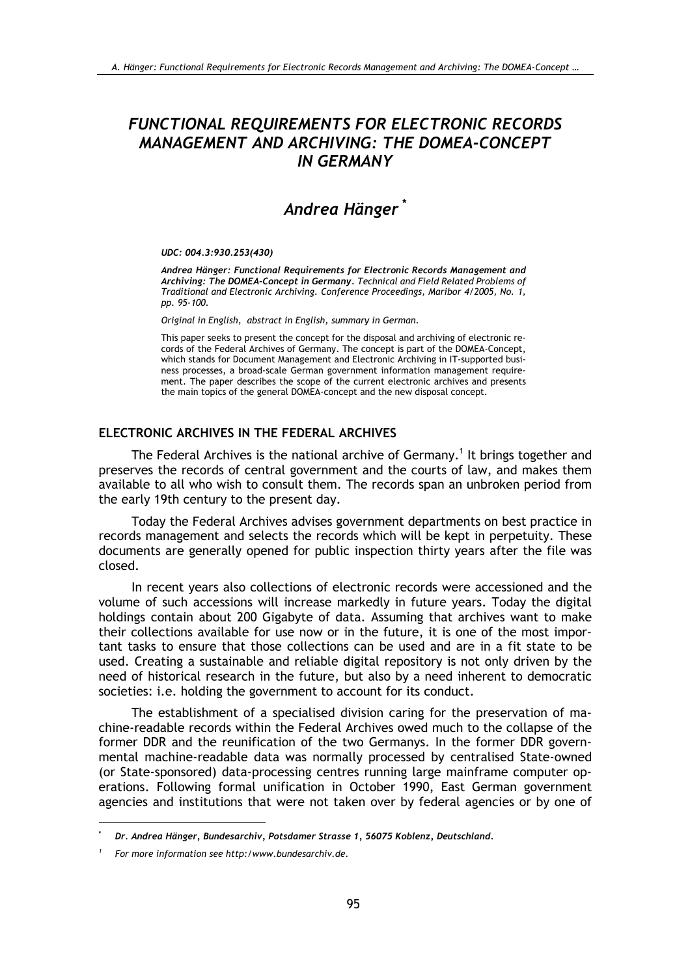# **FUNCTIONAL REQUIREMENTS FOR ELECTRONIC RECORDS MANAGEMENT AND ARCHIVING: THE DOMEA-CONCEPT IN GERMANY**

# Andrea Hänger\*

#### UDC: 004.3:930.253(430)

Andrea Hänger: Functional Requirements for Electronic Records Management and Archiving: The DOMEA-Concept in Germany. Technical and Field Related Problems of Traditional and Electronic Archiving. Conference Proceedings, Maribor 4/2005, No. 1, pp. 95-100.

Original in English, abstract in English, summary in German.

This paper seeks to present the concept for the disposal and archiving of electronic records of the Federal Archives of Germany. The concept is part of the DOMEA-Concept, which stands for Document Management and Electronic Archiving in IT-supported business processes, a broad-scale German government information management requirement. The paper describes the scope of the current electronic archives and presents the main topics of the general DOMEA-concept and the new disposal concept.

### ELECTRONIC ARCHIVES IN THE FEDERAL ARCHIVES

The Federal Archives is the national archive of Germany.<sup>1</sup> It brings together and preserves the records of central government and the courts of law, and makes them available to all who wish to consult them. The records span an unbroken period from the early 19th century to the present day.

Today the Federal Archives advises government departments on best practice in records management and selects the records which will be kept in perpetuity. These documents are generally opened for public inspection thirty years after the file was closed.

In recent years also collections of electronic records were accessioned and the volume of such accessions will increase markedly in future years. Today the digital holdings contain about 200 Gigabyte of data. Assuming that archives want to make their collections available for use now or in the future, it is one of the most important tasks to ensure that those collections can be used and are in a fit state to be used. Creating a sustainable and reliable digital repository is not only driven by the need of historical research in the future, but also by a need inherent to democratic societies: i.e. holding the government to account for its conduct.

The establishment of a specialised division caring for the preservation of machine-readable records within the Federal Archives owed much to the collapse of the former DDR and the reunification of the two Germanys. In the former DDR governmental machine-readable data was normally processed by centralised State-owned (or State-sponsored) data-processing centres running large mainframe computer operations. Following formal unification in October 1990, East German government agencies and institutions that were not taken over by federal agencies or by one of

Dr. Andrea Hänger, Bundesarchiv, Potsdamer Strasse 1, 56075 Koblenz, Deutschland.

For more information see http:/www.bundesarchiv.de.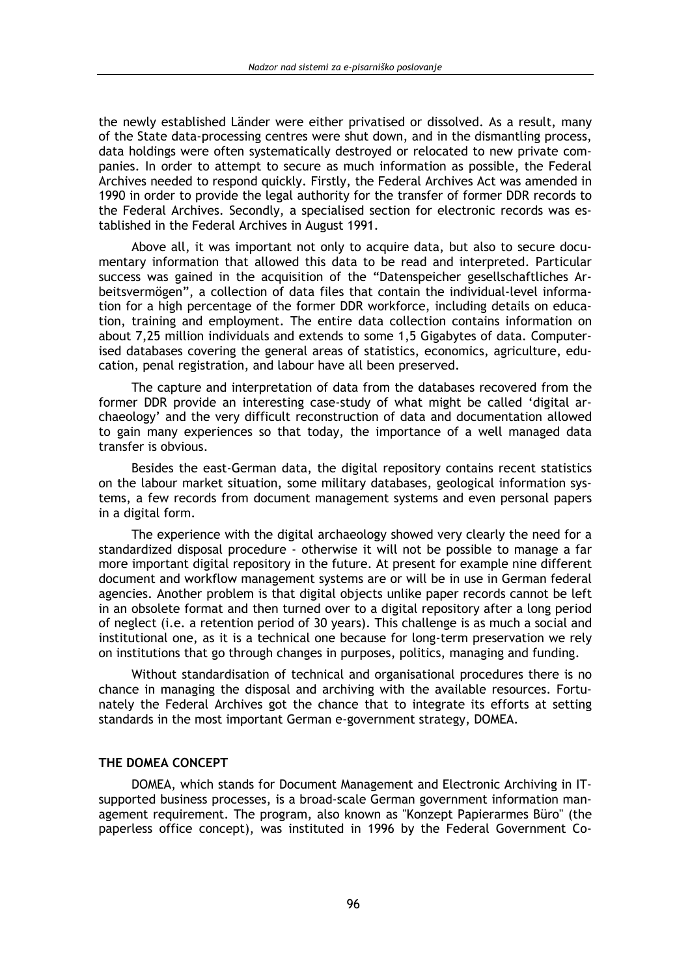the newly established Länder were either privatised or dissolved. As a result, many of the State data-processing centres were shut down, and in the dismantling process. data holdings were often systematically destroved or relocated to new private companies. In order to attempt to secure as much information as possible, the Federal Archives needed to respond quickly. Firstly, the Federal Archives Act was amended in 1990 in order to provide the legal authority for the transfer of former DDR records to the Federal Archives. Secondly, a specialised section for electronic records was established in the Federal Archives in August 1991.

Above all, it was important not only to acquire data, but also to secure documentary information that allowed this data to be read and interpreted. Particular success was gained in the acquisition of the "Datenspeicher gesellschaftliches Arbeitsvermögen", a collection of data files that contain the individual-level information for a high percentage of the former DDR workforce, including details on education, training and employment. The entire data collection contains information on about 7,25 million individuals and extends to some 1,5 Gigabytes of data. Computerised databases covering the general areas of statistics, economics, agriculture, education, penal registration, and labour have all been preserved.

The capture and interpretation of data from the databases recovered from the former DDR provide an interesting case-study of what might be called 'digital archaeology' and the very difficult reconstruction of data and documentation allowed to gain many experiences so that today, the importance of a well managed data transfer is obvious.

Besides the east-German data, the digital repository contains recent statistics on the labour market situation, some military databases, geological information systems, a few records from document management systems and even personal papers in a digital form.

The experience with the digital archaeology showed very clearly the need for a standardized disposal procedure - otherwise it will not be possible to manage a far more important digital repository in the future. At present for example nine different document and workflow management systems are or will be in use in German federal agencies. Another problem is that digital objects unlike paper records cannot be left in an obsolete format and then turned over to a digital repository after a long period of neglect (i.e. a retention period of 30 years). This challenge is as much a social and institutional one, as it is a technical one because for long-term preservation we rely on institutions that go through changes in purposes, politics, managing and funding.

Without standardisation of technical and organisational procedures there is no chance in managing the disposal and archiving with the available resources. Fortunately the Federal Archives got the chance that to integrate its efforts at setting standards in the most important German e-government strategy, DOMEA.

### THE DOMEA CONCEPT

DOMEA, which stands for Document Management and Electronic Archiving in ITsupported business processes, is a broad-scale German government information management requirement. The program, also known as "Konzept Papierarmes Büro" (the paperless office concept), was instituted in 1996 by the Federal Government Co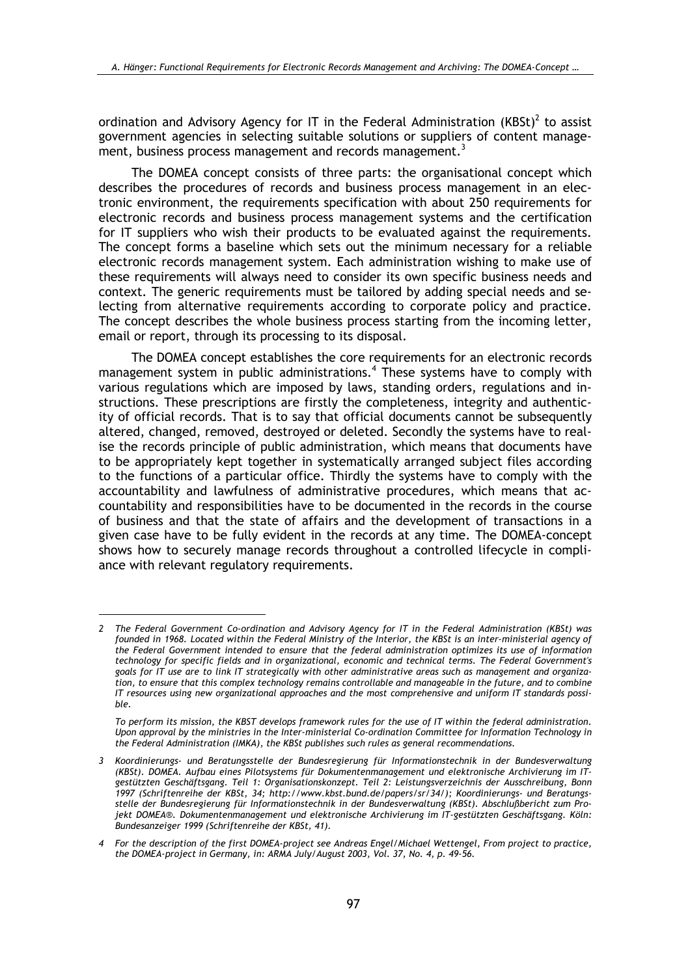ordination and Advisory Agency for IT in the Federal Administration (KBSt)<sup>2</sup> to assist government agencies in selecting suitable solutions or suppliers of content management, business process management and records management.<sup>3</sup>

The DOMEA concept consists of three parts: the organisational concept which describes the procedures of records and business process management in an electronic environment, the requirements specification with about 250 requirements for electronic records and business process management systems and the certification for IT suppliers who wish their products to be evaluated against the requirements. The concept forms a baseline which sets out the minimum necessary for a reliable electronic records management system. Each administration wishing to make use of these requirements will always need to consider its own specific business needs and context. The generic requirements must be tailored by adding special needs and selecting from alternative requirements according to corporate policy and practice. The concept describes the whole business process starting from the incoming letter, email or report, through its processing to its disposal.

The DOMEA concept establishes the core requirements for an electronic records management system in public administrations.<sup>4</sup> These systems have to comply with various regulations which are imposed by laws, standing orders, regulations and instructions. These prescriptions are firstly the completeness, integrity and authenticity of official records. That is to say that official documents cannot be subsequently altered, changed, removed, destroved or deleted. Secondly the systems have to realise the records principle of public administration, which means that documents have to be appropriately kept together in systematically arranged subject files according to the functions of a particular office. Thirdly the systems have to comply with the accountability and lawfulness of administrative procedures, which means that accountability and responsibilities have to be documented in the records in the course of business and that the state of affairs and the development of transactions in a given case have to be fully evident in the records at any time. The DOMEA-concept shows how to securely manage records throughout a controlled lifecycle in compliance with relevant regulatory requirements.

To perform its mission, the KBST develops framework rules for the use of IT within the federal administration. Upon approval by the ministries in the Inter-ministerial Co-ordination Committee for Information Technology in the Federal Administration (IMKA), the KBSt publishes such rules as general recommendations.

<sup>2</sup> The Federal Government Co-ordination and Advisory Agency for IT in the Federal Administration (KBSt) was founded in 1968. Located within the Federal Ministry of the Interior, the KBSt is an inter-ministerial agency of the Federal Government intended to ensure that the federal administration optimizes its use of information technology for specific fields and in organizational, economic and technical terms. The Federal Government's goals for IT use are to link IT strategically with other administrative areas such as management and organization, to ensure that this complex technology remains controllable and manageable in the future, and to combine IT resources using new organizational approaches and the most comprehensive and uniform IT standards possible.

<sup>3</sup> Koordinierungs- und Beratungsstelle der Bundesregierung für Informationstechnik in der Bundesverwaltung (KBSt). DOMEA. Aufbau eines Pilotsystems für Dokumentenmanagement und elektronische Archivierung im ITgestützten Geschäftsgang. Teil 1: Organisationskonzept. Teil 2: Leistungsverzeichnis der Ausschreibung, Bonn 1997 (Schriftenreihe der KBSt, 34; http://www.kbst.bund.de/papers/sr/34/); Koordinierungs- und Beratungsstelle der Bundesregierung für Informationstechnik in der Bundesverwaltung (KBSt). Abschlußbericht zum Projekt DOMEA®. Dokumentenmanagement und elektronische Archivierung im IT-gestützten Geschäftsgang. Köln: Bundesanzeiger 1999 (Schriftenreihe der KBSt, 41).

<sup>4</sup> For the description of the first DOMEA-project see Andreas Engel/Michael Wettengel, From project to practice, the DOMEA-project in Germany, in: ARMA July/August 2003, Vol. 37, No. 4, p. 49-56.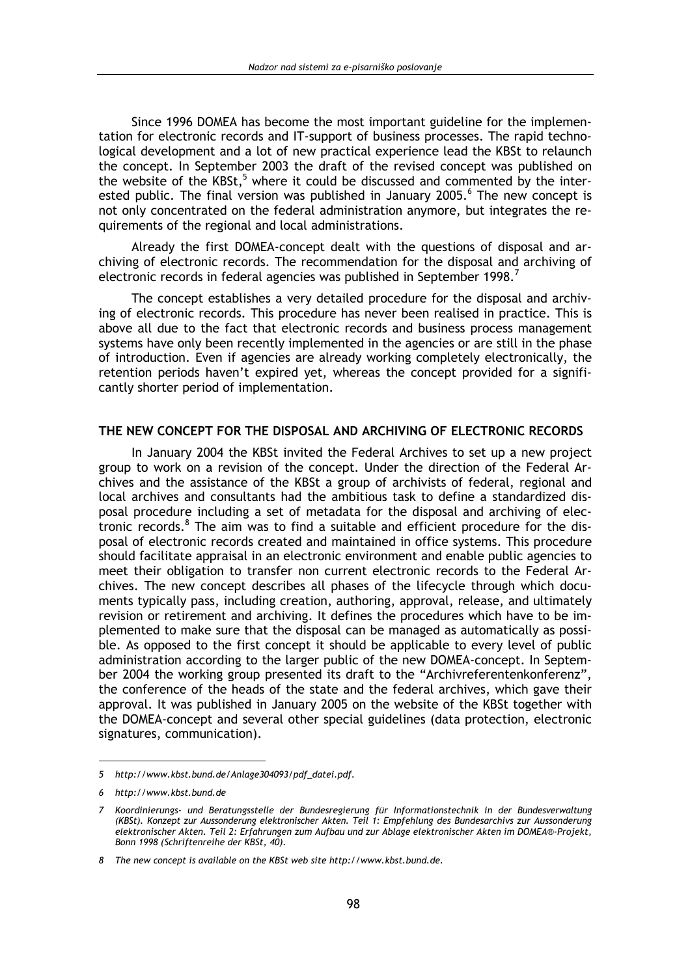Since 1996 DOMEA has become the most important guideline for the implementation for electronic records and IT-support of business processes. The rapid technological development and a lot of new practical experience lead the KBSt to relaunch the concept. In September 2003 the draft of the revised concept was published on the website of the KBSt,<sup>5</sup> where it could be discussed and commented by the interested public. The final version was published in January 2005.<sup>6</sup> The new concept is not only concentrated on the federal administration anymore, but integrates the requirements of the regional and local administrations.

Already the first DOMEA-concept dealt with the questions of disposal and archiving of electronic records. The recommendation for the disposal and archiving of electronic records in federal agencies was published in September 1998.<sup>7</sup>

The concept establishes a very detailed procedure for the disposal and archiving of electronic records. This procedure has never been realised in practice. This is above all due to the fact that electronic records and business process management systems have only been recently implemented in the agencies or are still in the phase of introduction. Even if agencies are already working completely electronically, the retention periods haven't expired yet, whereas the concept provided for a significantly shorter period of implementation.

#### THE NEW CONCEPT FOR THE DISPOSAL AND ARCHIVING OF ELECTRONIC RECORDS

In January 2004 the KBSt invited the Federal Archives to set up a new project group to work on a revision of the concept. Under the direction of the Federal Archives and the assistance of the KBSt a group of archivists of federal, regional and local archives and consultants had the ambitious task to define a standardized disposal procedure including a set of metadata for the disposal and archiving of electronic records.<sup>8</sup> The aim was to find a suitable and efficient procedure for the disposal of electronic records created and maintained in office systems. This procedure should facilitate appraisal in an electronic environment and enable public agencies to meet their obligation to transfer non current electronic records to the Federal Archives. The new concept describes all phases of the lifecycle through which documents typically pass, including creation, authoring, approval, release, and ultimately revision or retirement and archiving. It defines the procedures which have to be implemented to make sure that the disposal can be managed as automatically as possible. As opposed to the first concept it should be applicable to every level of public administration according to the larger public of the new DOMEA-concept. In September 2004 the working group presented its draft to the "Archivreferentenkonferenz", the conference of the heads of the state and the federal archives, which gave their approval. It was published in January 2005 on the website of the KBSt together with the DOMEA-concept and several other special guidelines (data protection, electronic signatures, communication).

<sup>5</sup> http://www.kbst.bund.de/Anlage304093/pdf datei.pdf.

<sup>6</sup> http://www.kbst.bund.de

<sup>7</sup> Koordinierungs- und Beratungsstelle der Bundesregierung für Informationstechnik in der Bundesverwaltung (KBSt). Konzept zur Aussonderung elektronischer Akten. Teil 1: Empfehlung des Bundesarchivs zur Aussonderung elektronischer Akten. Teil 2: Erfahrungen zum Aufbau und zur Ablage elektronischer Akten im DOMEA®-Projekt, Bonn 1998 (Schriftenreihe der KBSt, 40).

<sup>8</sup> The new concept is available on the KBSt web site http://www.kbst.bund.de.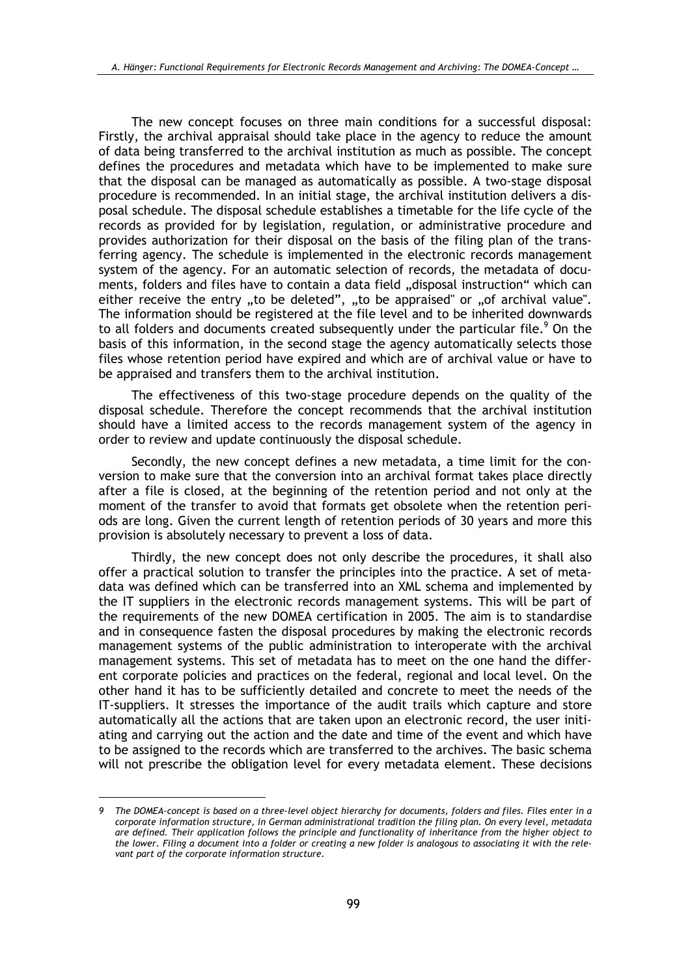The new concept focuses on three main conditions for a successful disposal: Firstly, the archival appraisal should take place in the agency to reduce the amount of data being transferred to the archival institution as much as possible. The concept defines the procedures and metadata which have to be implemented to make sure that the disposal can be managed as automatically as possible. A two-stage disposal procedure is recommended. In an initial stage, the archival institution delivers a disposal schedule. The disposal schedule establishes a timetable for the life cycle of the records as provided for by legislation, regulation, or administrative procedure and provides authorization for their disposal on the basis of the filing plan of the transferring agency. The schedule is implemented in the electronic records management system of the agency. For an automatic selection of records, the metadata of documents, folders and files have to contain a data field "disposal instruction" which can either receive the entry "to be deleted", "to be appraised" or "of archival value". The information should be registered at the file level and to be inherited downwards to all folders and documents created subsequently under the particular file.<sup>9</sup> On the basis of this information, in the second stage the agency automatically selects those files whose retention period have expired and which are of archival value or have to be appraised and transfers them to the archival institution.

The effectiveness of this two-stage procedure depends on the quality of the disposal schedule. Therefore the concept recommends that the archival institution should have a limited access to the records management system of the agency in order to review and update continuously the disposal schedule.

Secondly, the new concept defines a new metadata, a time limit for the conversion to make sure that the conversion into an archival format takes place directly after a file is closed, at the beginning of the retention period and not only at the moment of the transfer to avoid that formats get obsolete when the retention periods are long. Given the current length of retention periods of 30 years and more this provision is absolutely necessary to prevent a loss of data.

Thirdly, the new concept does not only describe the procedures, it shall also offer a practical solution to transfer the principles into the practice. A set of metadata was defined which can be transferred into an XML schema and implemented by the IT suppliers in the electronic records management systems. This will be part of the requirements of the new DOMEA certification in 2005. The aim is to standardise and in consequence fasten the disposal procedures by making the electronic records management systems of the public administration to interoperate with the archival management systems. This set of metadata has to meet on the one hand the different corporate policies and practices on the federal, regional and local level. On the other hand it has to be sufficiently detailed and concrete to meet the needs of the IT-suppliers. It stresses the importance of the audit trails which capture and store automatically all the actions that are taken upon an electronic record, the user initiating and carrying out the action and the date and time of the event and which have to be assigned to the records which are transferred to the archives. The basic schema will not prescribe the obligation level for every metadata element. These decisions

<sup>9</sup> The DOMEA-concept is based on a three-level object hierarchy for documents, folders and files. Files enter in a corporate information structure, in German administrational tradition the filing plan. On every level, metadata are defined. Their application follows the principle and functionality of inheritance from the higher object to the lower. Filing a document into a folder or creating a new folder is analogous to associating it with the relevant part of the corporate information structure.